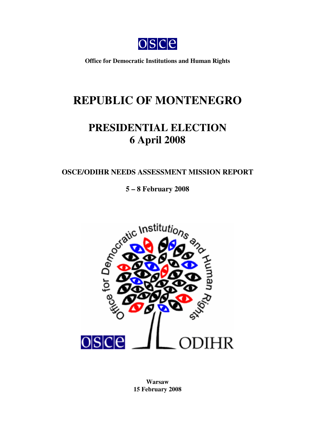

**Office for Democratic Institutions and Human Rights**

# **REPUBLIC OF MONTENEGRO**

# **PRESIDENTIAL ELECTION 6 April 2008**

# **OSCE/ODIHR NEEDS ASSESSMENT MISSION REPORT**

**5 – 8 February 2008**



**Warsaw 15 February 2008**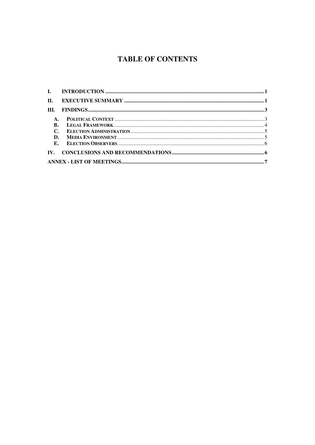# **TABLE OF CONTENTS**

| $\Pi$ .        |  |
|----------------|--|
| III.           |  |
| $\mathbf{A}$ . |  |
| <b>B.</b>      |  |
| $C_{\bullet}$  |  |
| D.             |  |
|                |  |
|                |  |
|                |  |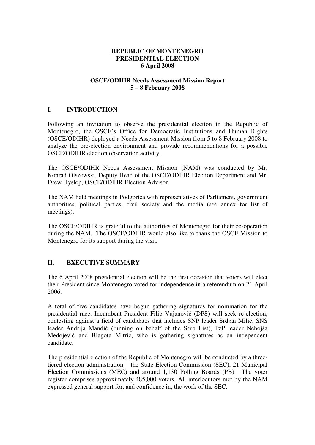#### **REPUBLIC OF MONTENEGRO PRESIDENTIAL ELECTION 6 April 2008**

### **OSCE/ODIHR Needs Assessment Mission Report 5 – 8 February 2008**

# **I. INTRODUCTION**

Following an invitation to observe the presidential election in the Republic of Montenegro, the OSCE's Office for Democratic Institutions and Human Rights (OSCE/ODIHR) deployed a Needs Assessment Mission from 5 to 8 February 2008 to analyze the pre-election environment and provide recommendations for a possible OSCE/ODIHR election observation activity.

The OSCE/ODIHR Needs Assessment Mission (NAM) was conducted by Mr. Konrad Olszewski, Deputy Head of the OSCE/ODIHR Election Department and Mr. Drew Hyslop, OSCE/ODIHR Election Advisor.

The NAM held meetings in Podgorica with representatives of Parliament, government authorities, political parties, civil society and the media (see annex for list of meetings).

The OSCE/ODIHR is grateful to the authorities of Montenegro for their co-operation during the NAM. The OSCE/ODIHR would also like to thank the OSCE Mission to Montenegro for its support during the visit.

# **II. EXECUTIVE SUMMARY**

The 6 April 2008 presidential election will be the first occasion that voters will elect their President since Montenegro voted for independence in a referendum on 21 April 2006.

A total of five candidates have begun gathering signatures for nomination for the presidential race. Incumbent President Filip Vujanović (DPS) will seek re-election, contesting against a field of candidates that includes SNP leader Srdjan Milić, SNS leader Andrija Mandić (running on behalf of the Serb List), PzP leader Nebojša Medojević and Blagota Mitrić, who is gathering signatures as an independent candidate.

The presidential election of the Republic of Montenegro will be conducted by a threetiered election administration – the State Election Commission (SEC), 21 Municipal Election Commissions (MEC) and around 1,130 Polling Boards (PB). The voter register comprises approximately 485,000 voters. All interlocutors met by the NAM expressed general support for, and confidence in, the work of the SEC.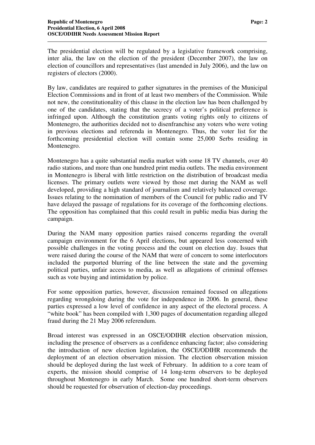The presidential election will be regulated by a legislative framework comprising, inter alia, the law on the election of the president (December 2007), the law on election of councillors and representatives (last amended in July 2006), and the law on registers of electors (2000).

By law, candidates are required to gather signatures in the premises of the Municipal Election Commissions and in front of at least two members of the Commission. While not new, the constitutionality of this clause in the election law has been challenged by one of the candidates, stating that the secrecy of a voter's political preference is infringed upon. Although the constitution grants voting rights only to citizens of Montenegro, the authorities decided not to disenfranchise any voters who were voting in previous elections and referenda in Montenegro. Thus, the voter list for the forthcoming presidential election will contain some 25,000 Serbs residing in Montenegro.

Montenegro has a quite substantial media market with some 18 TV channels, over 40 radio stations, and more than one hundred print media outlets. The media environment in Montenegro is liberal with little restriction on the distribution of broadcast media licenses. The primary outlets were viewed by those met during the NAM as well developed, providing a high standard of journalism and relatively balanced coverage. Issues relating to the nomination of members of the Council for public radio and TV have delayed the passage of regulations for its coverage of the forthcoming elections. The opposition has complained that this could result in public media bias during the campaign.

During the NAM many opposition parties raised concerns regarding the overall campaign environment for the 6 April elections, but appeared less concerned with possible challenges in the voting process and the count on election day. Issues that were raised during the course of the NAM that were of concern to some interlocutors included the purported blurring of the line between the state and the governing political parties, unfair access to media, as well as allegations of criminal offenses such as vote buying and intimidation by police.

For some opposition parties, however, discussion remained focused on allegations regarding wrongdoing during the vote for independence in 2006. In general, these parties expressed a low level of confidence in any aspect of the electoral process. A "white book" has been compiled with 1,300 pages of documentation regarding alleged fraud during the 21 May 2006 referendum.

Broad interest was expressed in an OSCE/ODIHR election observation mission, including the presence of observers as a confidence enhancing factor; also considering the introduction of new election legislation, the OSCE/ODIHR recommends the deployment of an election observation mission. The election observation mission should be deployed during the last week of February. In addition to a core team of experts, the mission should comprise of 14 long-term observers to be deployed throughout Montenegro in early March. Some one hundred short-term observers should be requested for observation of election-day proceedings.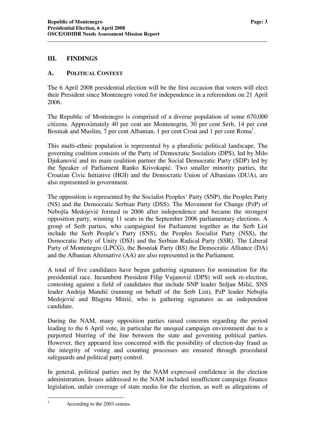#### **III. FINDINGS**

#### **A. POLITICAL CONTEXT**

The 6 April 2008 presidential election will be the first occasion that voters will elect their President since Montenegro voted for independence in a referendum on 21 April 2006.

The Republic of Montenegro is comprised of a diverse population of some 670,000 citizens. Approximately 40 per cent are Montenegrin, 30 per cent Serb, 14 per cent Bosniak and Muslim, 7 per cent Albanian, 1 per cent Croat and 1 per cent Roma<sup>1</sup>.

This multi-ethnic population is represented by a pluralistic political landscape. The governing coalition consists of the Party of Democratic Socialists (DPS), led by Milo Djukanović and its main coalition partner the Social Democratic Party (SDP) led by the Speaker of Parliament Ranko Krivokapić. Two smaller minority parties, the Croatian Civic Initiative (HGI) and the Democratic Union of Albanians (DUA), are also represented in government.

The opposition is represented by the Socialist Peoples' Party (SNP), the Peoples Party (NS) and the Democratic Serbian Party (DSS). The Movement for Change (PzP) of Nebojša Medojević formed in 2006 after independence and became the strongest opposition party, winning 11 seats in the September 2006 parliamentary elections. A group of Serb parties, who campaigned for Parliament together as the Serb List include the Serb People's Party (SNS), the Peoples Socialist Party (NSS), the Democratic Party of Unity (DSJ) and the Serbian Radical Party (SSR). The Liberal Party of Montenegro (LPCG), the Bosniak Party (BS) the Democratic Alliance (DA) and the Albanian Alternative (AA) are also represented in the Parliament.

A total of five candidates have begun gathering signatures for nomination for the presidential race. Incumbent President Filip Vujanović (DPS) will seek re-election, contesting against a field of candidates that include SNP leader Srdjan Milić, SNS leader Andrija Mandić (running on behalf of the Serb List), PzP leader Nebojša Medojević and Blagota Mitrić, who is gathering signatures as an independent candidate.

During the NAM, many opposition parties raised concerns regarding the period leading to the 6 April vote, in particular the unequal campaign environment due to a purported blurring of the line between the state and governing political parties. However, they appeared less concerned with the possibility of election-day fraud as the integrity of voting and counting processes are ensured through procedural safeguards and political party control.

In general, political parties met by the NAM expressed confidence in the election administration. Issues addressed to the NAM included insufficient campaign finance legislation, unfair coverage of state media for the election, as well as allegations of

<sup>&</sup>lt;sup>1</sup> According to the 2003 census.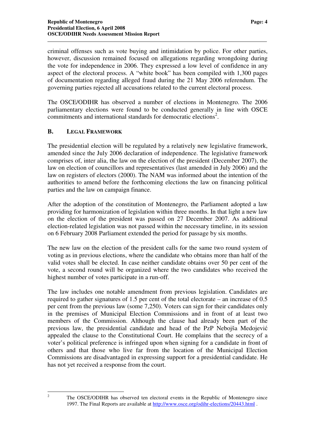criminal offenses such as vote buying and intimidation by police. For other parties, however, discussion remained focused on allegations regarding wrongdoing during the vote for independence in 2006. They expressed a low level of confidence in any aspect of the electoral process. A "white book" has been compiled with 1,300 pages of documentation regarding alleged fraud during the 21 May 2006 referendum. The governing parties rejected all accusations related to the current electoral process.

The OSCE/ODIHR has observed a number of elections in Montenegro. The 2006 parliamentary elections were found to be conducted generally in line with OSCE commitments and international standards for democratic elections<sup>2</sup>.

#### **B. LEGAL FRAMEWORK**

The presidential election will be regulated by a relatively new legislative framework, amended since the July 2006 declaration of independence. The legislative framework comprises of, inter alia, the law on the election of the president (December 2007), the law on election of councillors and representatives (last amended in July 2006) and the law on registers of electors (2000). The NAM was informed about the intention of the authorities to amend before the forthcoming elections the law on financing political parties and the law on campaign finance.

After the adoption of the constitution of Montenegro, the Parliament adopted a law providing for harmonization of legislation within three months. In that light a new law on the election of the president was passed on 27 December 2007. As additional election-related legislation was not passed within the necessary timeline, in its session on 6 February 2008 Parliament extended the period for passage by six months.

The new law on the election of the president calls for the same two round system of voting as in previous elections, where the candidate who obtains more than half of the valid votes shall be elected. In case neither candidate obtains over 50 per cent of the vote, a second round will be organized where the two candidates who received the highest number of votes participate in a run-off.

The law includes one notable amendment from previous legislation. Candidates are required to gather signatures of 1.5 per cent of the total electorate – an increase of 0.5 per cent from the previous law (some 7,250). Voters can sign for their candidates only in the premises of Municipal Election Commissions and in front of at least two members of the Commission. Although the clause had already been part of the previous law, the presidential candidate and head of the PzP Nebojša Medojevi appealed the clause to the Constitutional Court. He complains that the secrecy of a voter's political preference is infringed upon when signing for a candidate in front of others and that those who live far from the location of the Municipal Election Commissions are disadvantaged in expressing support for a presidential candidate. He has not yet received a response from the court.

<sup>2</sup> The OSCE/ODIHR has observed ten electoral events in the Republic of Montenegro since 1997. The Final Reports are available at http://www.osce.org/odihr-elections/20443.html .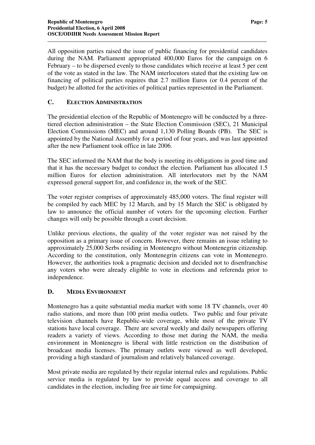All opposition parties raised the issue of public financing for presidential candidates during the NAM. Parliament appropriated 400,000 Euros for the campaign on 6 February – to be dispersed evenly to those candidates which receive at least 5 per cent of the vote as stated in the law. The NAM interlocutors stated that the existing law on financing of political parties requires that 2.7 million Euros (or 0.4 percent of the budget) be allotted for the activities of political parties represented in the Parliament.

# **C. ELECTION ADMINISTRATION**

The presidential election of the Republic of Montenegro will be conducted by a threetiered election administration – the State Election Commission (SEC), 21 Municipal Election Commissions (MEC) and around 1,130 Polling Boards (PB). The SEC is appointed by the National Assembly for a period of four years, and was last appointed after the new Parliament took office in late 2006.

The SEC informed the NAM that the body is meeting its obligations in good time and that it has the necessary budget to conduct the election. Parliament has allocated 1.5 million Euros for election administration. All interlocutors met by the NAM expressed general support for, and confidence in, the work of the SEC.

The voter register comprises of approximately 485,000 voters. The final register will be compiled by each MEC by 12 March, and by 15 March the SEC is obligated by law to announce the official number of voters for the upcoming election. Further changes will only be possible through a court decision.

Unlike previous elections, the quality of the voter register was not raised by the opposition as a primary issue of concern. However, there remains an issue relating to approximately 25,000 Serbs residing in Montenegro without Montenegrin citizenship. According to the constitution, only Montenegrin citizens can vote in Montenegro. However, the authorities took a pragmatic decision and decided not to disenfranchise any voters who were already eligible to vote in elections and referenda prior to independence.

# **D. MEDIA ENVIRONMENT**

Montenegro has a quite substantial media market with some 18 TV channels, over 40 radio stations, and more than 100 print media outlets. Two public and four private television channels have Republic-wide coverage, while most of the private TV stations have local coverage. There are several weekly and daily newspapers offering readers a variety of views. According to those met during the NAM, the media environment in Montenegro is liberal with little restriction on the distribution of broadcast media licenses. The primary outlets were viewed as well developed, providing a high standard of journalism and relatively balanced coverage.

Most private media are regulated by their regular internal rules and regulations. Public service media is regulated by law to provide equal access and coverage to all candidates in the election, including free air time for campaigning.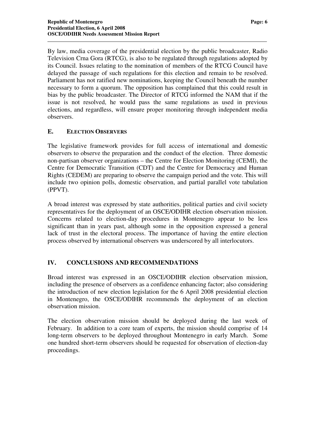By law, media coverage of the presidential election by the public broadcaster, Radio Television Crna Gora (RTCG), is also to be regulated through regulations adopted by its Council. Issues relating to the nomination of members of the RTCG Council have delayed the passage of such regulations for this election and remain to be resolved. Parliament has not ratified new nominations, keeping the Council beneath the number necessary to form a quorum. The opposition has complained that this could result in bias by the public broadcaster. The Director of RTCG informed the NAM that if the issue is not resolved, he would pass the same regulations as used in previous elections, and regardless, will ensure proper monitoring through independent media observers.

# **E. ELECTION OBSERVERS**

The legislative framework provides for full access of international and domestic observers to observe the preparation and the conduct of the election. Three domestic non-partisan observer organizations – the Centre for Election Monitoring (CEMI), the Centre for Democratic Transition (CDT) and the Centre for Democracy and Human Rights (CEDEM) are preparing to observe the campaign period and the vote. This will include two opinion polls, domestic observation, and partial parallel vote tabulation (PPVT).

A broad interest was expressed by state authorities, political parties and civil society representatives for the deployment of an OSCE/ODIHR election observation mission. Concerns related to election-day procedures in Montenegro appear to be less significant than in years past, although some in the opposition expressed a general lack of trust in the electoral process. The importance of having the entire election process observed by international observers was underscored by all interlocutors.

# **IV. CONCLUSIONS AND RECOMMENDATIONS**

Broad interest was expressed in an OSCE/ODIHR election observation mission, including the presence of observers as a confidence enhancing factor; also considering the introduction of new election legislation for the 6 April 2008 presidential election in Montenegro, the OSCE/ODIHR recommends the deployment of an election observation mission.

The election observation mission should be deployed during the last week of February. In addition to a core team of experts, the mission should comprise of 14 long-term observers to be deployed throughout Montenegro in early March. Some one hundred short-term observers should be requested for observation of election-day proceedings.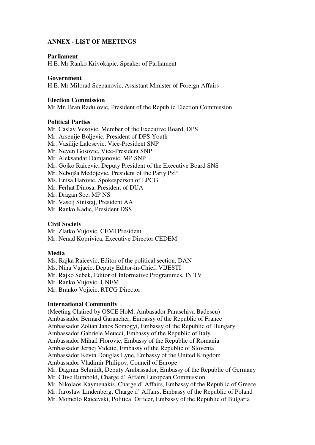# **ANNEX - LIST OF MEETINGS**

#### **Parliament**

H.E. Mr Ranko Krivokapic, Speaker of Parliament

#### **Government**

H.E. Mr Milorad Scepanovic, Assistant Minister of Foreign Affairs

#### **Election Commission**

Mr Mr. Bran Radulovic, President of the Republic Election Commission

#### **Political Parties**

Mr. Caslav Vesovic, Member of the Executive Board, DPS Mr. Arsenije Boljevic, President of DPS Youth Mr. Vasilije Lalosevic, Vice-President SNP Mr. Neven Gosovic, Vice-President SNP Mr. Aleksandar Damjanovic, MP SNP Mr. Gojko Raicevic, Deputy President of the Executive Board SNS Mr. Nebojša Medojevic, President of the Party PzP Ms. Enisa Harovic, Spokesperson of LPCG Mr. Ferhat Dinosa, President of DUA Mr. Dragan Soc, MP NS Mr. Vaselj Sinistaj, President AA Mr. Ranko Kadic, President DSS

#### **Civil Society**

Mr. Zlatko Vujovic, CEMI President Mr. Nenad Koprivica, Executive Director CEDEM

#### **Media**

Ms. Rajka Raicevic, Editor of the political section, DAN Ms. Nina Vujacic, Deputy Editor-in-Chief, VIJESTI Mr. Rajko Sebek, Editor of Informative Programmes, IN TV Mr. Ranko Vujovic, UNEM Mr. Branko Vojicic, RTCG Director

#### **International Community**

(Meeting Chaired by OSCE HoM, Ambasador Paraschiva Badescu) Ambassador Bernard Garancher, Embassy of the Republic of France Ambassador Zoltan Janos Somogyi, Embassy of the Republic of Hungary Ambassador Gabriele Meucci, Embassy of the Republic of Italy Ambassador Mihail Florovic, Embassy of the Republic of Romania Ambassador Jernej Videtic, Embassy of the Republic of Slovenia Ambassador Kevin Douglas Lyne, Embassy of the United Kingdom Ambassador Vladimir Philipov, Council of Europe Mr. Dagmar Schmidt, Deputy Ambassador, Embassy of the Republic of Germany Mr. Clive Rumbold, Charge d' Affairs European Commission Mr. Nikolaos Kaymenakis, Charge d' Affairs, Embassy of the Republic of Greece Mr. Jaroslaw Lindenberg, Charge d' Affairs, Embassy of the Republic of Poland Mr. Momcilo Raicevski, Political Officer, Embassy of the Republic of Bulgaria